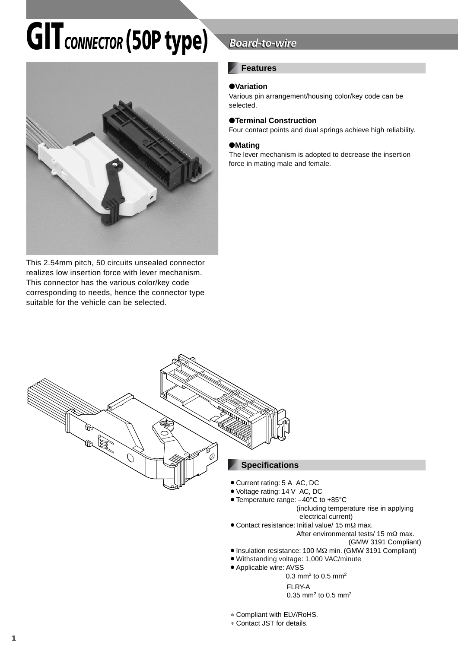# **GIT** CONNECTOR (50P type)



This 2.54mm pitch, 50 circuits unsealed connector realizes low insertion force with lever mechanism. This connector has the various color/key code corresponding to needs, hence the connector type suitable for the vehicle can be selected.

### **Board-to-wire**

### **Features**

### ●**Variation**

Various pin arrangement/housing color/key code can be selected.

### ●**Terminal Construction**

Four contact points and dual springs achieve high reliability.

### ●**Mating**

The lever mechanism is adopted to decrease the insertion force in mating male and female.



- (including temperature rise in applying electrical current)
- $\bullet$  Contact resistance: Initial value/ 15 mΩ max. After environmental tests/ 15 mΩ max.

(GMW 3191 Compliant)

- Insulation resistance: 100 MΩ min. (GMW 3191 Compliant)
- ¡Withstanding voltage: 1,000 VAC/minute
- ¡Applicable wire: AVSS

0.3 mm2 to 0.5 mm2

FI<sub>RY-A</sub>

0.35 mm<sup>2</sup> to 0.5 mm<sup>2</sup>

∗ Compliant with ELV/RoHS.

∗ Contact JST for details.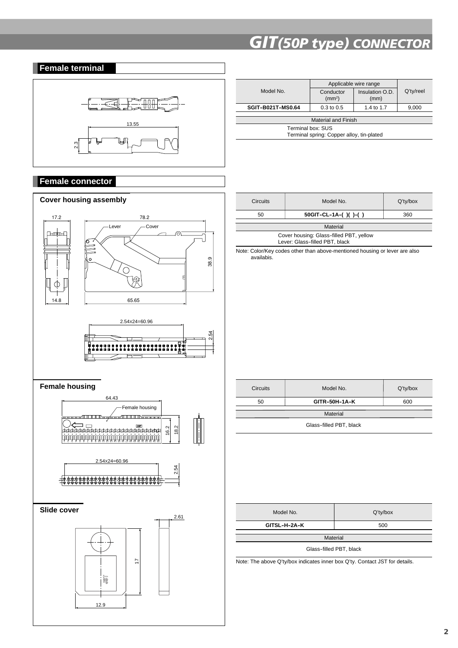# **Female terminal**  $\in \exists$ 888



### **Female connector**



|                                           | Applicable wire range |                 |           |
|-------------------------------------------|-----------------------|-----------------|-----------|
| Model No.                                 | Conductor             | Insulation O.D. | Q'ty/reel |
|                                           | (mm <sup>2</sup> )    | (mm)            |           |
| SGIT-B021T-MS0.64                         | $0.3$ to $0.5$        | 1.4 to 1.7      | 9,000     |
|                                           |                       |                 |           |
| Material and Finish                       |                       |                 |           |
| Terminal box: SUS                         |                       |                 |           |
| Terminal spring: Copper alloy, tin-plated |                       |                 |           |
|                                           |                       |                 |           |

| <b>Circuits</b>                         | Model No.              | $Q'$ ty/box |
|-----------------------------------------|------------------------|-------------|
| 50                                      | $50$ GIT-CL-1A-()()-() | 360         |
| Material                                |                        |             |
| Cover housing: Glass-filled PBT, yellow |                        |             |

Lever: Glass-filled PBT, black

Note: Color/Key codes other than above-mentioned housing or lever are also availabis.

| <b>Circuits</b>         | Model No.     | $Q'$ ty/box |
|-------------------------|---------------|-------------|
| 50                      | GITR-50H-1A-K | 600         |
| Material                |               |             |
| Glass-filled PBT, black |               |             |

| Model No.    | $Q'$ ty/box |  |
|--------------|-------------|--|
| GITSL-H-2A-K | 500         |  |
|              |             |  |
| Material     |             |  |
|              |             |  |

Glass-filled PBT, black

Note: The above Q'ty/box indicates inner box Q'ty. Contact JST for details.

# *GIT(50P type) CONNECTOR*